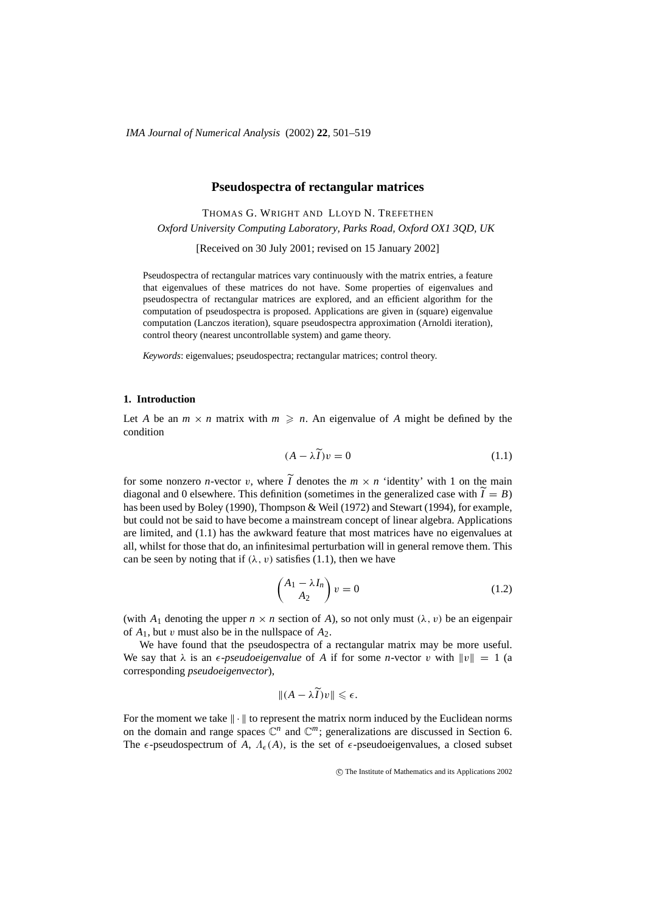## **Pseudospectra of rectangular matrices**

THOMAS G. WRIGHT AND LLOYD N. TREFETHEN *Oxford University Computing Laboratory, Parks Road, Oxford OX1 3QD, UK* [Received on 30 July 2001; revised on 15 January 2002]

Pseudospectra of rectangular matrices vary continuously with the matrix entries, a feature that eigenvalues of these matrices do not have. Some properties of eigenvalues and pseudospectra of rectangular matrices are explored, and an efficient algorithm for the computation of pseudospectra is proposed. Applications are given in (square) eigenvalue computation (Lanczos iteration), square pseudospectra approximation (Arnoldi iteration), control theory (nearest uncontrollable system) and game theory.

*Keywords*: eigenvalues; pseudospectra; rectangular matrices; control theory.

# **1. Introduction**

Let *A* be an  $m \times n$  matrix with  $m \geq n$ . An eigenvalue of *A* might be defined by the condition

$$
(A - \lambda \widetilde{I})v = 0 \tag{1.1}
$$

for some nonzero *n*-vector *v*, where  $\tilde{I}$  denotes the  $m \times n$  'identity' with 1 on the main diagonal and 0 elsewhere. This definition (sometimes in the generalized case with  $\widetilde{I} = B$ ) has been used by Boley (1990), Thompson & Weil (1972) and Stewart (1994), for example, but could not be said to have become a mainstream concept of linear algebra. Applications are limited, and (1.1) has the awkward feature that most matrices have no eigenvalues at all, whilst for those that do, an infinitesimal perturbation will in general remove them. This can be seen by noting that if  $(\lambda, v)$  satisfies (1.1), then we have

$$
\begin{pmatrix} A_1 - \lambda I_n \\ A_2 \end{pmatrix} v = 0 \tag{1.2}
$$

(with  $A_1$  denoting the upper  $n \times n$  section of  $A$ ), so not only must  $(\lambda, v)$  be an eigenpair of  $A_1$ , but v must also be in the nullspace of  $A_2$ .

We have found that the pseudospectra of a rectangular matrix may be more useful. We say that  $\lambda$  is an  $\epsilon$ -*pseudoeigenvalue* of *A* if for some *n*-vector *v* with  $||v|| = 1$  (a corresponding *pseudoeigenvector*),

$$
|| (A - \lambda I) v || \leqslant \epsilon.
$$

For the moment we take  $\|\cdot\|$  to represent the matrix norm induced by the Euclidean norms on the domain and range spaces  $\mathbb{C}^n$  and  $\mathbb{C}^m$ ; generalizations are discussed in Section 6. The  $\epsilon$ -pseudospectrum of *A*,  $\Lambda_{\epsilon}(A)$ , is the set of  $\epsilon$ -pseudoeigenvalues, a closed subset

 $\odot$  The Institute of Mathematics and its Applications 2002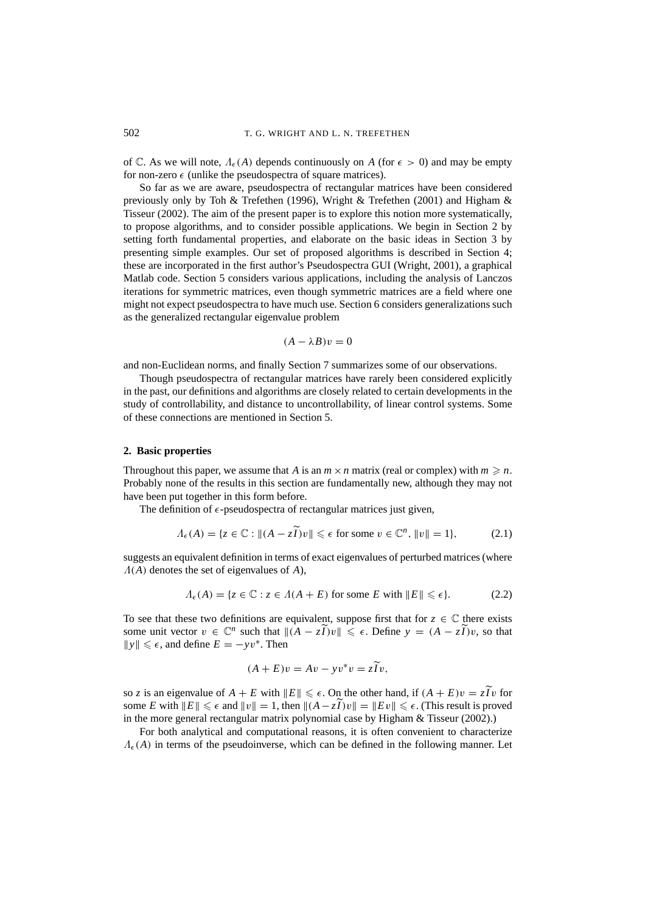of C. As we will note,  $\Lambda_{\epsilon}(A)$  depends continuously on A (for  $\epsilon > 0$ ) and may be empty for non-zero  $\epsilon$  (unlike the pseudospectra of square matrices).

So far as we are aware, pseudospectra of rectangular matrices have been considered previously only by Toh & Trefethen (1996), Wright & Trefethen (2001) and Higham & Tisseur (2002). The aim of the present paper is to explore this notion more systematically, to propose algorithms, and to consider possible applications. We begin in Section 2 by setting forth fundamental properties, and elaborate on the basic ideas in Section 3 by presenting simple examples. Our set of proposed algorithms is described in Section 4; these are incorporated in the first author's Pseudospectra GUI (Wright, 2001), a graphical Matlab code. Section 5 considers various applications, including the analysis of Lanczos iterations for symmetric matrices, even though symmetric matrices are a field where one might not expect pseudospectra to have much use. Section 6 considers generalizations such as the generalized rectangular eigenvalue problem

$$
(A - \lambda B)v = 0
$$

and non-Euclidean norms, and finally Section 7 summarizes some of our observations.

Though pseudospectra of rectangular matrices have rarely been considered explicitly in the past, our definitions and algorithms are closely related to certain developments in the study of controllability, and distance to uncontrollability, of linear control systems. Some of these connections are mentioned in Section 5.

### **2. Basic properties**

Throughout this paper, we assume that *A* is an  $m \times n$  matrix (real or complex) with  $m \ge n$ . Probably none of the results in this section are fundamentally new, although they may not have been put together in this form before.

The definition of  $\epsilon$ -pseudospectra of rectangular matrices just given,

$$
\Lambda_{\epsilon}(A) = \{ z \in \mathbb{C} : \| (A - z\widetilde{I})v \| \leq \epsilon \text{ for some } v \in \mathbb{C}^n, \|v\| = 1 \},\tag{2.1}
$$

suggests an equivalent definition in terms of exact eigenvalues of perturbed matrices (where Λ(*A*) denotes the set of eigenvalues of *A*),

$$
\Lambda_{\epsilon}(A) = \{ z \in \mathbb{C} : z \in \Lambda(A + E) \text{ for some } E \text{ with } ||E|| \le \epsilon \}. \tag{2.2}
$$

To see that these two definitions are equivalent, suppose first that for  $z \in \mathbb{C}$  there exists some unit vector  $v \in \mathbb{C}^n$  such that  $\|(A - z\widetilde{I})v\| \leq \epsilon$ . Define  $y = (A - z\widetilde{I})v$ , so that  $||y|| \leq \epsilon$ , and define  $E = -yv^*$ . Then

$$
(A + E)v = Av - yv^*v = z\widetilde{I}v,
$$

so *z* is an eigenvalue of  $A + E$  with  $||E|| \le \epsilon$ . On the other hand, if  $(A + E)v = z\overline{I}v$  for some *E* with  $||E|| \le \epsilon$  and  $||v|| = 1$ , then  $||(A - zI)v|| = ||Ev|| \le \epsilon$ . (This result is proved in the more general rectangular matrix polynomial case by Higham & Tisseur (2002).)

For both analytical and computational reasons, it is often convenient to characterize  $\Lambda_{\epsilon}(A)$  in terms of the pseudoinverse, which can be defined in the following manner. Let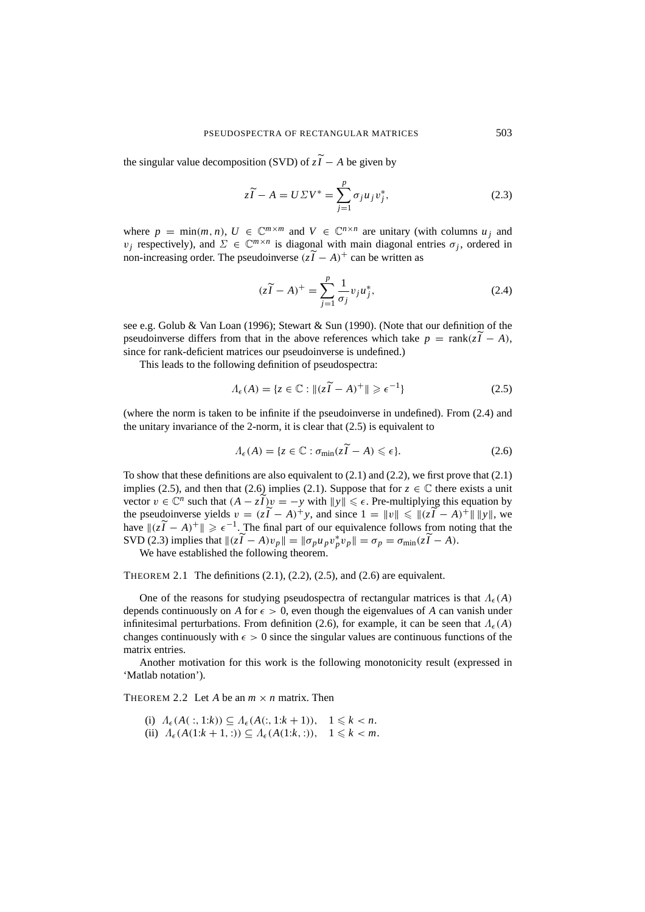the singular value decomposition (SVD) of  $z\tilde{I} - A$  be given by

$$
z\widetilde{I} - A = U\Sigma V^* = \sum_{j=1}^p \sigma_j u_j v_j^*,
$$
\n(2.3)

where  $p = \min(m, n)$ ,  $U \in \mathbb{C}^{m \times m}$  and  $V \in \mathbb{C}^{n \times n}$  are unitary (with columns  $u_i$  and  $v_j$  respectively), and  $\Sigma \in \mathbb{C}^{m \times n}$  is diagonal with main diagonal entries  $\sigma_j$ , ordered in non-increasing order. The pseudoinverse  $(z\tilde{I} - A)^+$  can be written as

$$
(z\widetilde{I} - A)^{+} = \sum_{j=1}^{p} \frac{1}{\sigma_j} v_j u_j^{*},
$$
\n(2.4)

see e.g. Golub & Van Loan (1996); Stewart & Sun (1990). (Note that our definition of the pseudoinverse differs from that in the above references which take  $p = \text{rank}(z\tilde{I} - A)$ , since for rank-deficient matrices our pseudoinverse is undefined.)

This leads to the following definition of pseudospectra:

$$
\Lambda_{\epsilon}(A) = \{ z \in \mathbb{C} : ||(z\tilde{I} - A)^{+}|| \geqslant \epsilon^{-1} \}
$$
\n(2.5)

(where the norm is taken to be infinite if the pseudoinverse in undefined). From (2.4) and the unitary invariance of the 2-norm, it is clear that (2.5) is equivalent to

$$
\Lambda_{\epsilon}(A) = \{ z \in \mathbb{C} : \sigma_{\min}(z\widetilde{I} - A) \leqslant \epsilon \}. \tag{2.6}
$$

To show that these definitions are also equivalent to  $(2.1)$  and  $(2.2)$ , we first prove that  $(2.1)$ implies (2.5), and then that (2.6) implies (2.1). Suppose that for  $z \in \mathbb{C}$  there exists a unit vector  $v \in \mathbb{C}^n$  such that  $(A - z\widetilde{I})v = -y$  with  $||y|| \le \epsilon$ . Pre-multiplying this equation by the pseudoinverse yields  $v = (z\tilde{I} - A)^+ y$ , and since  $1 = ||v|| \le ||(z\tilde{I} - A)^+|| ||y||$ , we have  $\|z\tilde{I} - A\|^+$   $\geq \epsilon^{-1}$ . The final part of our equivalence follows from noting that the SVD (2.3) implies that  $\|z\overline{I} - A)v_p\| = \|\sigma_p u_p v_p^* v_p\| = \sigma_p = \sigma_{\min}(z\overline{I} - A).$ 

We have established the following theorem.

THEOREM 2.1 The definitions  $(2.1)$ ,  $(2.2)$ ,  $(2.5)$ , and  $(2.6)$  are equivalent.

One of the reasons for studying pseudospectra of rectangular matrices is that  $\Lambda_{\epsilon}(A)$ depends continuously on A for  $\epsilon > 0$ , even though the eigenvalues of A can vanish under infinitesimal perturbations. From definition (2.6), for example, it can be seen that  $\Lambda_{\epsilon}(A)$ changes continuously with  $\epsilon > 0$  since the singular values are continuous functions of the matrix entries.

Another motivation for this work is the following monotonicity result (expressed in 'Matlab notation').

THEOREM 2.2 Let *A* be an  $m \times n$  matrix. Then

(i)  $\Lambda_{\epsilon}(A(:, 1:k)) \subseteq \Lambda_{\epsilon}(A(:, 1:k+1)), \quad 1 \leq k < n.$ (ii)  $\Lambda_{\epsilon}(A(1:k+1,:)) \subseteq \Lambda_{\epsilon}(A(1:k,:)), \quad 1 \leq k < m.$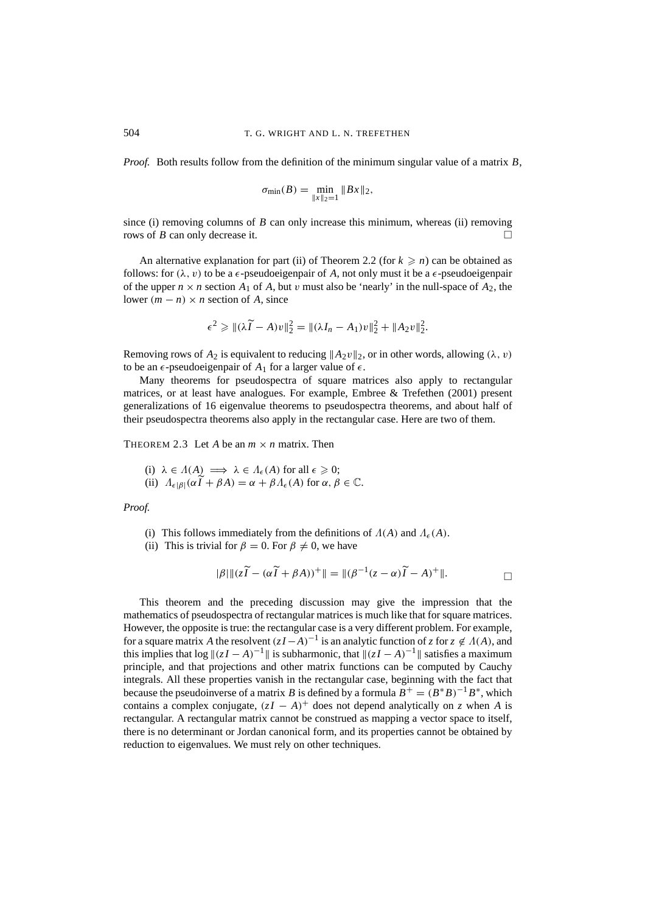*Proof.* Both results follow from the definition of the minimum singular value of a matrix *B*,

$$
\sigma_{\min}(B) = \min_{\|x\|_2=1} \|Bx\|_2,
$$

since (i) removing columns of *B* can only increase this minimum, whereas (ii) removing rows of *B* can only decrease it.

An alternative explanation for part (ii) of Theorem 2.2 (for  $k \ge n$ ) can be obtained as follows: for  $(\lambda, v)$  to be a  $\epsilon$ -pseudoeigenpair of A, not only must it be a  $\epsilon$ -pseudoeigenpair of the upper  $n \times n$  section  $A_1$  of  $A$ , but  $v$  must also be 'nearly' in the null-space of  $A_2$ , the lower  $(m - n) \times n$  section of *A*, since

$$
\epsilon^2 \geq \|\lambda(\widetilde{I} - A)v\|_2^2 = \|\lambda I_n - A_1)v\|_2^2 + \|A_2v\|_2^2.
$$

Removing rows of  $A_2$  is equivalent to reducing  $\|A_2v\|_2$ , or in other words, allowing  $(\lambda, v)$ to be an  $\epsilon$ -pseudoeigenpair of  $A_1$  for a larger value of  $\epsilon$ .

Many theorems for pseudospectra of square matrices also apply to rectangular matrices, or at least have analogues. For example, Embree & Trefethen (2001) present generalizations of 16 eigenvalue theorems to pseudospectra theorems, and about half of their pseudospectra theorems also apply in the rectangular case. Here are two of them.

THEOREM 2.3 Let *A* be an  $m \times n$  matrix. Then

(i) 
$$
\lambda \in \Lambda(A) \implies \lambda \in \Lambda_{\epsilon}(A)
$$
 for all  $\epsilon \ge 0$ ;  
\n(ii)  $\Lambda_{\epsilon|\beta|}(\alpha \widetilde{I} + \beta A) = \alpha + \beta \Lambda_{\epsilon}(A)$  for  $\alpha, \beta \in \mathbb{C}$ .

### *Proof.*

- (i) This follows immediately from the definitions of  $\Lambda(A)$  and  $\Lambda_{\epsilon}(A)$ .
- (ii) This is trivial for  $\beta = 0$ . For  $\beta \neq 0$ , we have

$$
|\beta| \| (z\widetilde{I} - (\alpha \widetilde{I} + \beta A))^+\| = \|(\beta^{-1}(z - \alpha)\widetilde{I} - A)^+\|.
$$

This theorem and the preceding discussion may give the impression that the mathematics of pseudospectra of rectangular matrices is much like that for square matrices. However, the opposite is true: the rectangular case is a very different problem. For example, for a square matrix *A* the resolvent  $(zI - A)^{-1}$  is an analytic function of *z* for  $z \notin A(A)$ , and this implies that  $\log ||(zI - A)^{-1}||$  is subharmonic, that  $||(zI - A)^{-1}||$  satisfies a maximum principle, and that projections and other matrix functions can be computed by Cauchy integrals. All these properties vanish in the rectangular case, beginning with the fact that because the pseudoinverse of a matrix *B* is defined by a formula  $B^+ = (B^*B)^{-1}B^*$ , which contains a complex conjugate,  $(zI - A)^+$  does not depend analytically on *z* when *A* is rectangular. A rectangular matrix cannot be construed as mapping a vector space to itself, there is no determinant or Jordan canonical form, and its properties cannot be obtained by reduction to eigenvalues. We must rely on other techniques.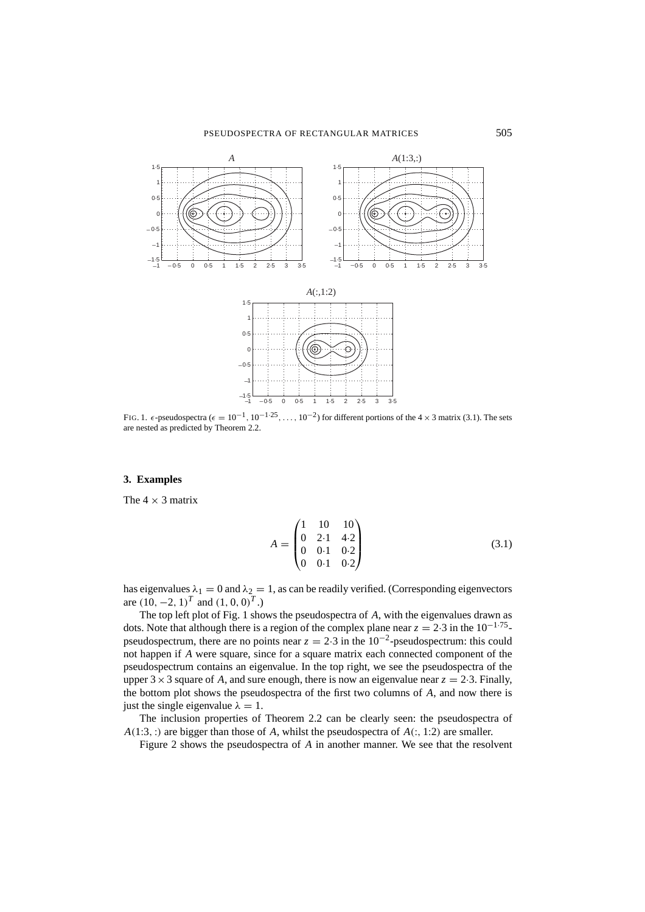

FIG. 1.  $\epsilon$ -pseudospectra ( $\epsilon = 10^{-1}$ ,  $10^{-1.25}$ , ...,  $10^{-2}$ ) for different portions of the 4 × 3 matrix (3.1). The sets are nested as predicted by Theorem 2.2.

# **3. Examples**

The  $4 \times 3$  matrix

$$
A = \begin{pmatrix} 1 & 10 & 10 \\ 0 & 2 \cdot 1 & 4 \cdot 2 \\ 0 & 0 \cdot 1 & 0 \cdot 2 \\ 0 & 0 \cdot 1 & 0 \cdot 2 \end{pmatrix}
$$
 (3.1)

has eigenvalues  $\lambda_1 = 0$  and  $\lambda_2 = 1$ , as can be readily verified. (Corresponding eigenvectors are  $(10, -2, 1)^T$  and  $(1, 0, 0)^T$ .)

The top left plot of Fig. 1 shows the pseudospectra of *A*, with the eigenvalues drawn as dots. Note that although there is a region of the complex plane near  $z = 2.3$  in the  $10^{-1.75}$ pseudospectrum, there are no points near  $z = 2.3$  in the  $10^{-2}$ -pseudospectrum: this could not happen if *A* were square, since for a square matrix each connected component of the pseudospectrum contains an eigenvalue. In the top right, we see the pseudospectra of the upper  $3 \times 3$  square of *A*, and sure enough, there is now an eigenvalue near  $z = 2.3$ . Finally, the bottom plot shows the pseudospectra of the first two columns of *A*, and now there is just the single eigenvalue  $\lambda = 1$ .

The inclusion properties of Theorem 2.2 can be clearly seen: the pseudospectra of *A*(1:3, :) are bigger than those of *A*, whilst the pseudospectra of *A*(:, 1:2) are smaller.

Figure 2 shows the pseudospectra of *A* in another manner. We see that the resolvent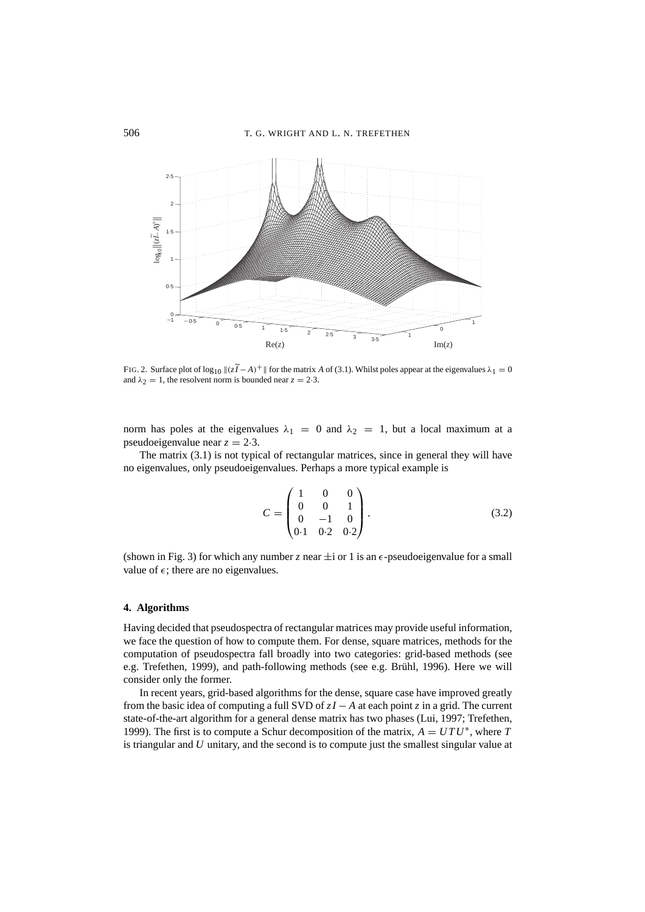

FIG. 2. Surface plot of  $\log_{10} ||(z\tilde{I} - A)^+||$  for the matrix *A* of (3.1). Whilst poles appear at the eigenvalues  $\lambda_1 = 0$ and  $\lambda_2 = 1$ , the resolvent norm is bounded near  $z = 2.3$ .

norm has poles at the eigenvalues  $\lambda_1 = 0$  and  $\lambda_2 = 1$ , but a local maximum at a pseudoeigenvalue near  $z = 2.3$ .

The matrix (3.1) is not typical of rectangular matrices, since in general they will have no eigenvalues, only pseudoeigenvalues. Perhaps a more typical example is

$$
C = \begin{pmatrix} 1 & 0 & 0 \\ 0 & 0 & 1 \\ 0 & -1 & 0 \\ 0.1 & 0.2 & 0.2 \end{pmatrix},
$$
 (3.2)

(shown in Fig. 3) for which any number *z* near  $\pm i$  or 1 is an  $\epsilon$ -pseudoeigenvalue for a small value of  $\epsilon$ ; there are no eigenvalues.

#### **4. Algorithms**

Having decided that pseudospectra of rectangular matrices may provide useful information, we face the question of how to compute them. For dense, square matrices, methods for the computation of pseudospectra fall broadly into two categories: grid-based methods (see e.g. Trefethen, 1999), and path-following methods (see e.g. Brühl, 1996). Here we will consider only the former.

In recent years, grid-based algorithms for the dense, square case have improved greatly from the basic idea of computing a full SVD of *zI* − *A* at each point *z* in a grid. The current state-of-the-art algorithm for a general dense matrix has two phases (Lui, 1997; Trefethen, 1999). The first is to compute a Schur decomposition of the matrix,  $A = U T U^*$ , where *T* is triangular and *U* unitary, and the second is to compute just the smallest singular value at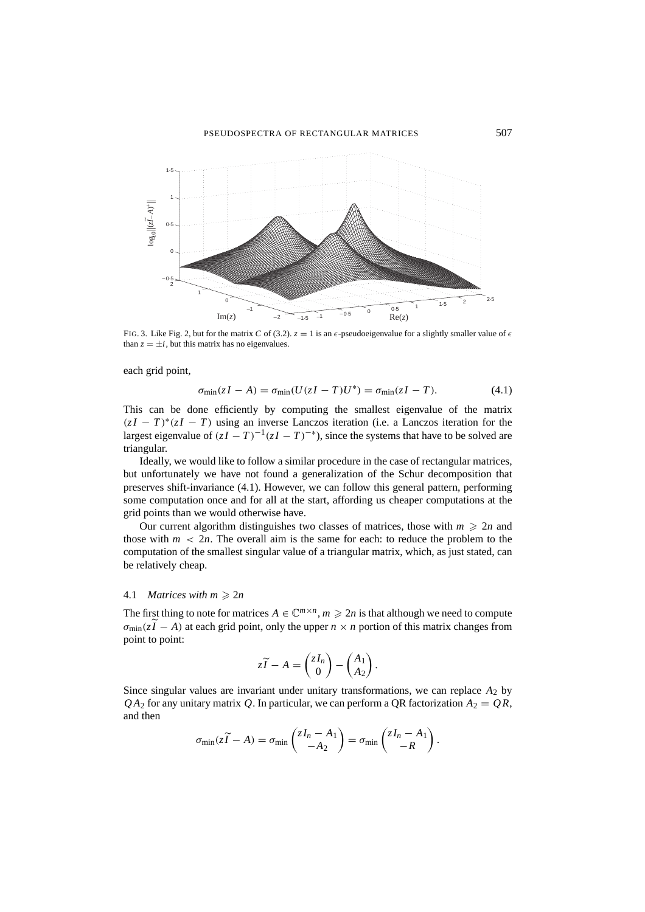

FIG. 3. Like Fig. 2, but for the matrix *C* of (3.2).  $z = 1$  is an  $\epsilon$ -pseudoeigenvalue for a slightly smaller value of  $\epsilon$ than  $z = \pm i$ , but this matrix has no eigenvalues.

each grid point,

$$
\sigma_{\min}(zI - A) = \sigma_{\min}(U(zI - T)U^*) = \sigma_{\min}(zI - T). \tag{4.1}
$$

This can be done efficiently by computing the smallest eigenvalue of the matrix  $(zI - T)^*(zI - T)$  using an inverse Lanczos iteration (i.e. a Lanczos iteration for the largest eigenvalue of  $(zI - T)^{-1}(zI - T)^{-*}$ ), since the systems that have to be solved are triangular.

Ideally, we would like to follow a similar procedure in the case of rectangular matrices, but unfortunately we have not found a generalization of the Schur decomposition that preserves shift-invariance (4.1). However, we can follow this general pattern, performing some computation once and for all at the start, affording us cheaper computations at the grid points than we would otherwise have.

Our current algorithm distinguishes two classes of matrices, those with  $m \geq 2n$  and those with  $m < 2n$ . The overall aim is the same for each: to reduce the problem to the computation of the smallest singular value of a triangular matrix, which, as just stated, can be relatively cheap.

### 4.1 *Matrices with*  $m \ge 2n$

The first thing to note for matrices  $A \in \mathbb{C}^{m \times n}$ ,  $m \ge 2n$  is that although we need to compute  $\sigma_{\min}(z\tilde{I} - A)$  at each grid point, only the upper  $n \times n$  portion of this matrix changes from point to point:

$$
z\widetilde{I} - A = \begin{pmatrix} zI_n \\ 0 \end{pmatrix} - \begin{pmatrix} A_1 \\ A_2 \end{pmatrix}.
$$

Since singular values are invariant under unitary transformations, we can replace  $A_2$  by  $QA_2$  for any unitary matrix Q. In particular, we can perform a QR factorization  $A_2 = QR$ , and then

$$
\sigma_{\min}(z\widetilde{I}-A)=\sigma_{\min}\begin{pmatrix}zI_n-A_1\\-A_2\end{pmatrix}=\sigma_{\min}\begin{pmatrix}zI_n-A_1\\-R\end{pmatrix}.
$$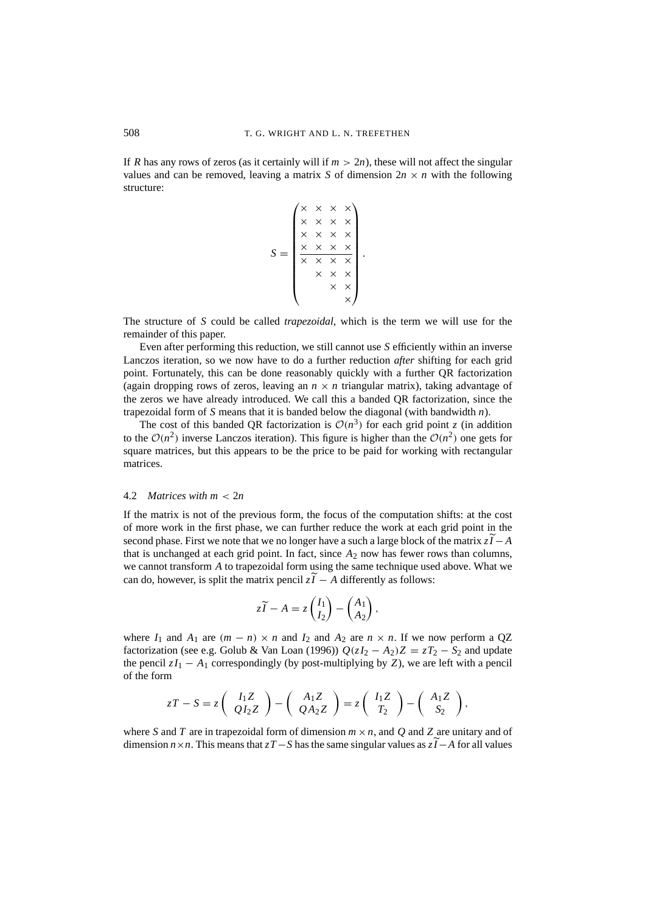If *R* has any rows of zeros (as it certainly will if  $m > 2n$ ), these will not affect the singular values and can be removed, leaving a matrix *S* of dimension  $2n \times n$  with the following structure:

$$
S = \begin{pmatrix} \times & \times & \times & \times \\ \times & \times & \times & \times & \times \\ \times & \times & \times & \times & \times \\ \times & \times & \times & \times & \times \\ \times & \times & \times & \times & \times \\ \times & \times & \times & \times & \times \end{pmatrix}.
$$

The structure of *S* could be called *trapezoidal*, which is the term we will use for the remainder of this paper.

Even after performing this reduction, we still cannot use *S* efficiently within an inverse Lanczos iteration, so we now have to do a further reduction *after* shifting for each grid point. Fortunately, this can be done reasonably quickly with a further QR factorization (again dropping rows of zeros, leaving an  $n \times n$  triangular matrix), taking advantage of the zeros we have already introduced. We call this a banded QR factorization, since the trapezoidal form of *S* means that it is banded below the diagonal (with bandwidth *n*).

The cost of this banded QR factorization is  $O(n^3)$  for each grid point *z* (in addition to the  $\mathcal{O}(n^2)$  inverse Lanczos iteration). This figure is higher than the  $\mathcal{O}(n^2)$  one gets for square matrices, but this appears to be the price to be paid for working with rectangular matrices.

### 4.2 *Matrices with m* < 2*n*

If the matrix is not of the previous form, the focus of the computation shifts: at the cost of more work in the first phase, we can further reduce the work at each grid point in the second phase. First we note that we no longer have a such a large block of the matrix  $z\tilde{I} - A$ that is unchanged at each grid point. In fact, since  $A_2$  now has fewer rows than columns, we cannot transform *A* to trapezoidal form using the same technique used above. What we can do, however, is split the matrix pencil  $z\tilde{I} - A$  differently as follows:

$$
z\widetilde{I} - A = z \begin{pmatrix} I_1 \\ I_2 \end{pmatrix} - \begin{pmatrix} A_1 \\ A_2 \end{pmatrix},
$$

where  $I_1$  and  $A_1$  are  $(m - n) \times n$  and  $I_2$  and  $A_2$  are  $n \times n$ . If we now perform a QZ factorization (see e.g. Golub & Van Loan (1996))  $Q(zI_2 - A_2)Z = zT_2 - S_2$  and update the pencil  $zI_1 - A_1$  correspondingly (by post-multiplying by *Z*), we are left with a pencil of the form

$$
zT-S=z\left(\begin{array}{c}I_1Z\\QI_2Z\end{array}\right)-\left(\begin{array}{c}A_1Z\\QA_2Z\end{array}\right)=z\left(\begin{array}{c}I_1Z\\T_2\end{array}\right)-\left(\begin{array}{c}A_1Z\\S_2\end{array}\right),
$$

where *S* and *T* are in trapezoidal form of dimension  $m \times n$ , and *Q* and *Z* are unitary and of dimension *n*×*n*. This means that *zT* − *S* has the same singular values as  $z\widetilde{I}$  − *A* for all values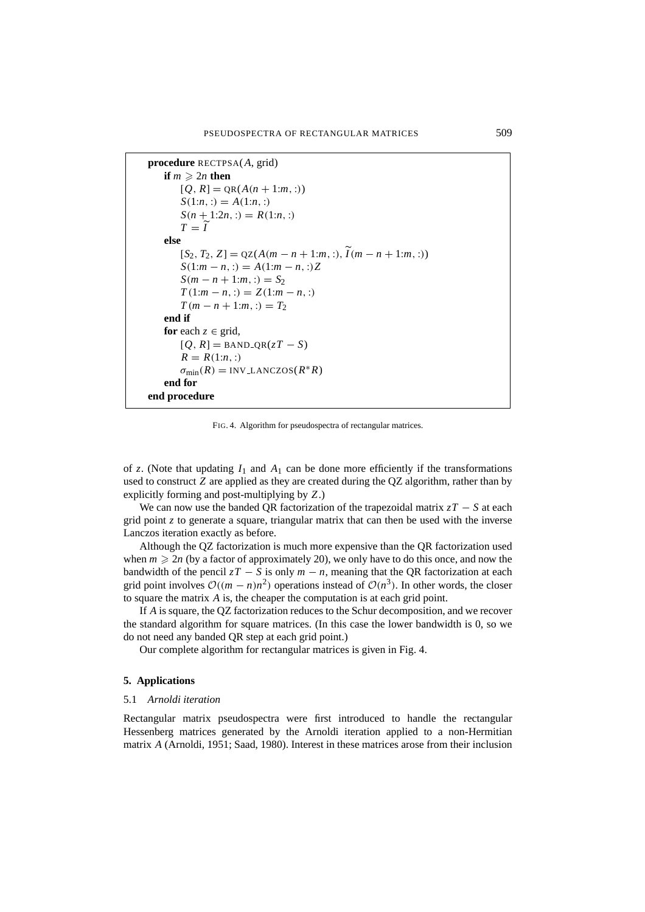```
procedure RECTPSA(A, grid)
   if m \ge 2n then
       [Q, R] = QR(A(n + 1:m, :))S(1:n,:) = A(1:n,:)S(n + 1:2n, :)= R(1:n, :)T = \tilde{I}else
       [S_2, T_2, Z] = QZ(A(m - n + 1:m, :), \tilde{I}(m - n + 1:m, :))S(1:m - n, :)=A(1:m - n, :)ZS(m - n + 1:m, :)= S_2T(1:m - n, :)= Z(1:m - n, :)T(m - n + 1:m, :)= T_2end if
   for each z \in \text{grid},
       [Q, R] =BAND_QR(zT - S)
       R = R(1:n, :)\sigma_{\min}(R) = \text{INV}\text{LANCZOS}(R^*R)end for
end procedure
```
FIG. 4. Algorithm for pseudospectra of rectangular matrices.

of *z*. (Note that updating  $I_1$  and  $A_1$  can be done more efficiently if the transformations used to construct *Z* are applied as they are created during the QZ algorithm, rather than by explicitly forming and post-multiplying by *Z*.)

We can now use the banded OR factorization of the trapezoidal matrix  $zT - S$  at each grid point *z* to generate a square, triangular matrix that can then be used with the inverse Lanczos iteration exactly as before.

Although the QZ factorization is much more expensive than the QR factorization used when  $m \ge 2n$  (by a factor of approximately 20), we only have to do this once, and now the bandwidth of the pencil  $zT - S$  is only  $m - n$ , meaning that the QR factorization at each grid point involves  $\mathcal{O}((m-n)n^2)$  operations instead of  $\mathcal{O}(n^3)$ . In other words, the closer to square the matrix *A* is, the cheaper the computation is at each grid point.

If *A* is square, the QZ factorization reduces to the Schur decomposition, and we recover the standard algorithm for square matrices. (In this case the lower bandwidth is 0, so we do not need any banded QR step at each grid point.)

Our complete algorithm for rectangular matrices is given in Fig. 4.

# **5. Applications**

### 5.1 *Arnoldi iteration*

Rectangular matrix pseudospectra were first introduced to handle the rectangular Hessenberg matrices generated by the Arnoldi iteration applied to a non-Hermitian matrix *A* (Arnoldi, 1951; Saad, 1980). Interest in these matrices arose from their inclusion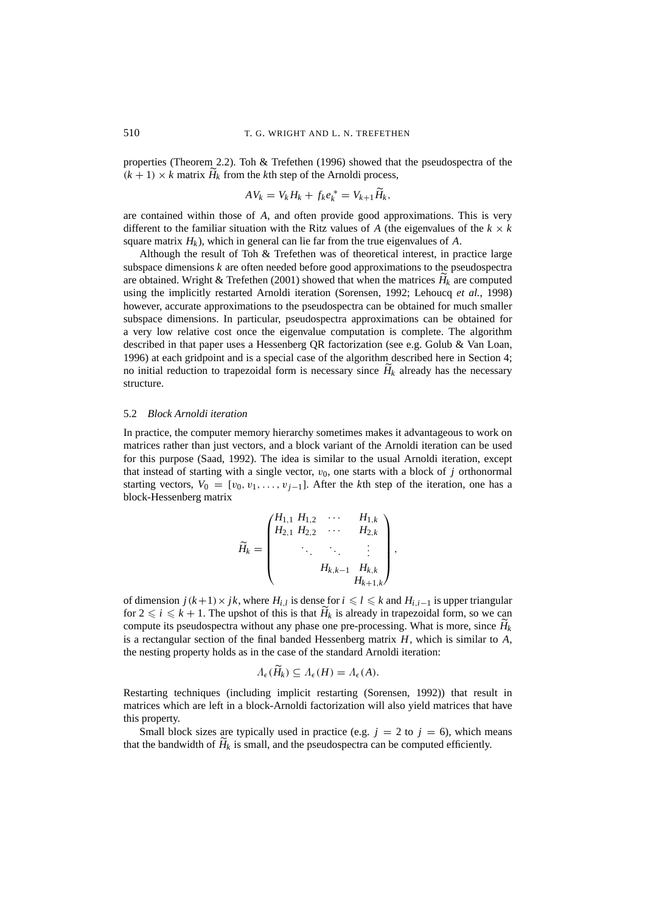properties (Theorem 2.2). Toh & Trefethen (1996) showed that the pseudospectra of the  $(k + 1) \times k$  matrix  $H_k$  from the *k*th step of the Arnoldi process,

$$
AV_k = V_k H_k + f_k e_k^* = V_{k+1} \widetilde{H}_k,
$$

are contained within those of *A*, and often provide good approximations. This is very different to the familiar situation with the Ritz values of *A* (the eigenvalues of the  $k \times k$ square matrix  $H_k$ ), which in general can lie far from the true eigenvalues of  $A$ .

Although the result of Toh & Trefethen was of theoretical interest, in practice large subspace dimensions *k* are often needed before good approximations to the pseudospectra are obtained. Wright & Trefethen (2001) showed that when the matrices  $H_k$  are computed<br>in the matrices in the matrices of the matrices  $H_k$  are computed using the implicitly restarted Arnoldi iteration (Sorensen, 1992; Lehoucq *et al.*, 1998) however, accurate approximations to the pseudospectra can be obtained for much smaller subspace dimensions. In particular, pseudospectra approximations can be obtained for a very low relative cost once the eigenvalue computation is complete. The algorithm described in that paper uses a Hessenberg QR factorization (see e.g. Golub & Van Loan, 1996) at each gridpoint and is a special case of the algorithm described here in Section 4; no initial reduction to trapezoidal form is necessary since  $H_k$  already has the necessary structure.

### 5.2 *Block Arnoldi iteration*

In practice, the computer memory hierarchy sometimes makes it advantageous to work on matrices rather than just vectors, and a block variant of the Arnoldi iteration can be used for this purpose (Saad, 1992). The idea is similar to the usual Arnoldi iteration, except that instead of starting with a single vector,  $v_0$ , one starts with a block of *j* orthonormal starting vectors,  $V_0 = [v_0, v_1, \ldots, v_{j-1}]$ . After the *k*th step of the iteration, one has a block-Hessenberg matrix

$$
\widetilde{H}_k = \begin{pmatrix} H_{1,1} & H_{1,2} & \cdots & H_{1,k} \\ H_{2,1} & H_{2,2} & \cdots & H_{2,k} \\ & \ddots & \ddots & \vdots \\ & & H_{k,k-1} & H_{k,k} \\ & & & H_{k+1,k} \end{pmatrix},
$$

of dimension  $j(k+1) \times jk$ , where  $H_{i,l}$  is dense for  $i \leq l \leq k$  and  $H_{i,i-1}$  is upper triangular for  $2 \le i \le k + 1$ . The upshot of this is that  $H_k$  is already in trapezoidal form, so we can compute its pseudospectra without any phase one pre-processing. What is more, since *H k* is a rectangular section of the final banded Hessenberg matrix *H*, which is similar to *A*, the nesting property holds as in the case of the standard Arnoldi iteration:

$$
\Lambda_{\epsilon}(\widetilde{H}_k) \subseteq \Lambda_{\epsilon}(H) = \Lambda_{\epsilon}(A).
$$

Restarting techniques (including implicit restarting (Sorensen, 1992)) that result in matrices which are left in a block-Arnoldi factorization will also yield matrices that have this property.

Small block sizes are typically used in practice (e.g.  $j = 2$  to  $j = 6$ ), which means that the bandwidth of  $H_k$  is small, and the pseudospectra can be computed efficiently.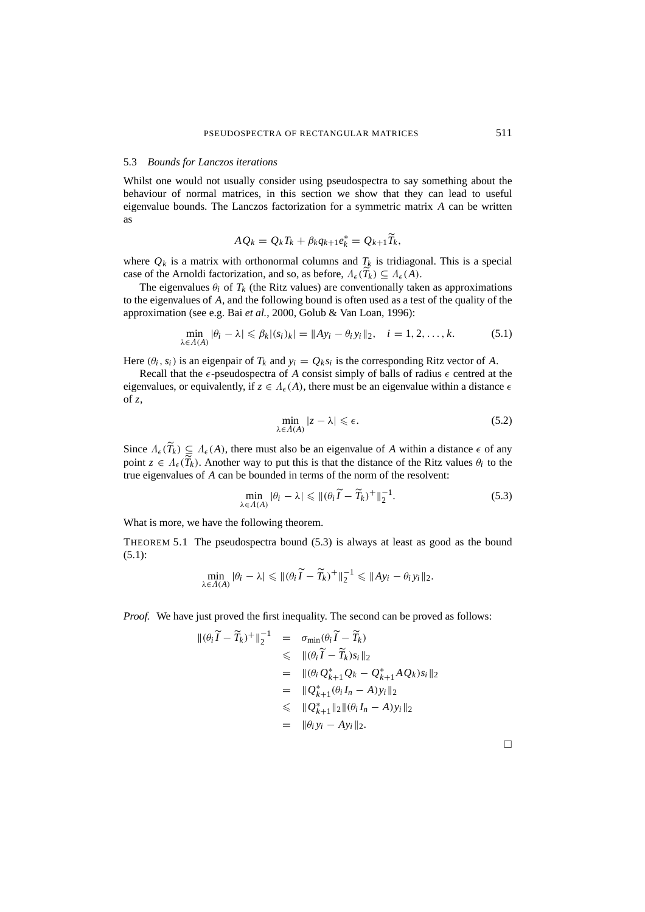### 5.3 *Bounds for Lanczos iterations*

Whilst one would not usually consider using pseudospectra to say something about the behaviour of normal matrices, in this section we show that they can lead to useful eigenvalue bounds. The Lanczos factorization for a symmetric matrix *A* can be written as

$$
A Q_k = Q_k T_k + \beta_k q_{k+1} e_k^* = Q_{k+1} \widetilde{T}_k,
$$

where  $Q_k$  is a matrix with orthonormal columns and  $T_k$  is tridiagonal. This is a special case of the Arnoldi factorization, and so, as before,  $\Lambda_{\epsilon}(T_k) \subseteq \Lambda_{\epsilon}(A)$ .

The eigenvalues  $\theta_i$  of  $T_k$  (the Ritz values) are conventionally taken as approximations to the eigenvalues of *A*, and the following bound is often used as a test of the quality of the approximation (see e.g. Bai *et al.*, 2000, Golub & Van Loan, 1996):

$$
\min_{\lambda \in \Lambda(A)} |\theta_i - \lambda| \leq \beta_k |(s_i)_k| = \|Ay_i - \theta_i y_i\|_2, \quad i = 1, 2, \dots, k. \tag{5.1}
$$

Here  $(\theta_i, s_i)$  is an eigenpair of  $T_k$  and  $y_i = Q_k s_i$  is the corresponding Ritz vector of *A*.

Recall that the  $\epsilon$ -pseudospectra of A consist simply of balls of radius  $\epsilon$  centred at the eigenvalues, or equivalently, if  $z \in A_{\epsilon}(A)$ , there must be an eigenvalue within a distance  $\epsilon$ of *z*,

$$
\min_{\lambda \in \Lambda(A)} |z - \lambda| \leqslant \epsilon. \tag{5.2}
$$

Since  $\Lambda_{\epsilon}(T_k) \subseteq \Lambda_{\epsilon}(A)$ , there must also be an eigenvalue of *A* within a distance  $\epsilon$  of any point  $z \in A_{\epsilon}(T_k)$ . Another way to put this is that the distance of the Ritz values  $\theta_i$  to the true eigenvalues of *A* can be bounded in terms of the norm of the resolvent:

$$
\min_{\lambda \in \Lambda(A)} |\theta_i - \lambda| \le ||(\theta_i \widetilde{I} - \widetilde{T}_k)^+||_2^{-1}.
$$
\n(5.3)

What is more, we have the following theorem.

THEOREM 5.1 The pseudospectra bound (5.3) is always at least as good as the bound (5.1):

$$
\min_{\lambda \in \Lambda(A)} |\theta_i - \lambda| \leqslant \|(\theta_i \widetilde{I} - \widetilde{T}_k)^+ \|_2^{-1} \leqslant \|Ay_i - \theta_i y_i\|_2.
$$

*Proof.* We have just proved the first inequality. The second can be proved as follows:

$$
\begin{array}{rcl}\n\|(\theta_i \widetilde{I} - \widetilde{T}_k)^+\|_2^{-1} & = & \sigma_{\min}(\theta_i \widetilde{I} - \widetilde{T}_k) \\
& \leq & \|\theta_i \widetilde{I} - \widetilde{T}_k s_k\|_2 \\
& = & \|\theta_i Q_{k+1}^* Q_k - Q_{k+1}^* A Q_k s_k\|_2 \\
& = & \|\mathcal{Q}_{k+1}^*(\theta_i I_n - A) y_i\|_2 \\
& \leq & \|\mathcal{Q}_{k+1}^*\|_2 \|\theta_i I_n - A) y_i\|_2 \\
& = & \|\theta_i y_i - A y_i\|_2.\n\end{array}
$$

 $\Box$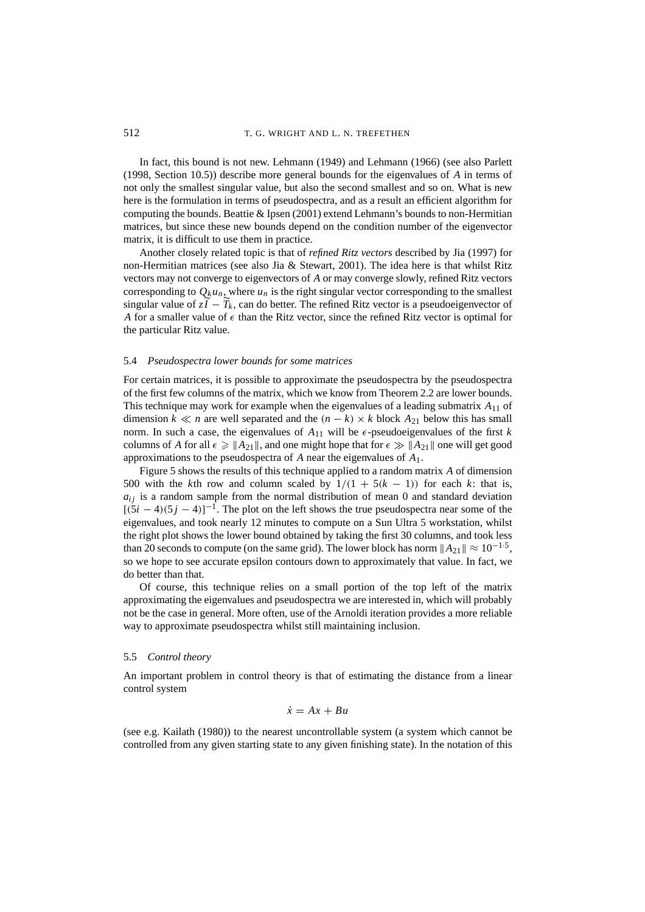In fact, this bound is not new. Lehmann (1949) and Lehmann (1966) (see also Parlett (1998, Section 10.5)) describe more general bounds for the eigenvalues of *A* in terms of not only the smallest singular value, but also the second smallest and so on. What is new here is the formulation in terms of pseudospectra, and as a result an efficient algorithm for computing the bounds. Beattie & Ipsen (2001) extend Lehmann's bounds to non-Hermitian matrices, but since these new bounds depend on the condition number of the eigenvector matrix, it is difficult to use them in practice.

Another closely related topic is that of *refined Ritz vectors* described by Jia (1997) for non-Hermitian matrices (see also Jia & Stewart, 2001). The idea here is that whilst Ritz vectors may not converge to eigenvectors of *A* or may converge slowly, refined Ritz vectors corresponding to  $Q_k u_n$ , where  $u_n$  is the right singular vector corresponding to the smallest singular value of  $z\bar{I} - T_k$ , can do better. The refined Ritz vector is a pseudoeigenvector of A for a smaller value of  $\epsilon$  than the Ritz vector, since the refined Ritz vector is optimal for the particular Ritz value.

### 5.4 *Pseudospectra lower bounds for some matrices*

For certain matrices, it is possible to approximate the pseudospectra by the pseudospectra of the first few columns of the matrix, which we know from Theorem 2.2 are lower bounds. This technique may work for example when the eigenvalues of a leading submatrix *A*<sup>11</sup> of dimension *k*  $\ll n$  are well separated and the  $(n - k) \times k$  block  $A_{21}$  below this has small norm. In such a case, the eigenvalues of  $A_{11}$  will be  $\epsilon$ -pseudoeigenvalues of the first k columns of *A* for all  $\epsilon \geq \|\mathbf{A}_{21}\|$ , and one might hope that for  $\epsilon \gg \|\mathbf{A}_{21}\|$  one will get good approximations to the pseudospectra of *A* near the eigenvalues of *A*1.

Figure 5 shows the results of this technique applied to a random matrix *A* of dimension 500 with the *k*th row and column scaled by  $1/(1 + 5(k - 1))$  for each *k*: that is,  $a_{ij}$  is a random sample from the normal distribution of mean 0 and standard deviation  $[(5i – 4)(5j – 4)]^{-1}$ . The plot on the left shows the true pseudospectra near some of the eigenvalues, and took nearly 12 minutes to compute on a Sun Ultra 5 workstation, whilst the right plot shows the lower bound obtained by taking the first 30 columns, and took less than 20 seconds to compute (on the same grid). The lower block has norm  $||A_{21}|| \approx 10^{-1.5}$ , so we hope to see accurate epsilon contours down to approximately that value. In fact, we do better than that.

Of course, this technique relies on a small portion of the top left of the matrix approximating the eigenvalues and pseudospectra we are interested in, which will probably not be the case in general. More often, use of the Arnoldi iteration provides a more reliable way to approximate pseudospectra whilst still maintaining inclusion.

### 5.5 *Control theory*

An important problem in control theory is that of estimating the distance from a linear control system

$$
\dot{x} = Ax + Bu
$$

(see e.g. Kailath (1980)) to the nearest uncontrollable system (a system which cannot be controlled from any given starting state to any given finishing state). In the notation of this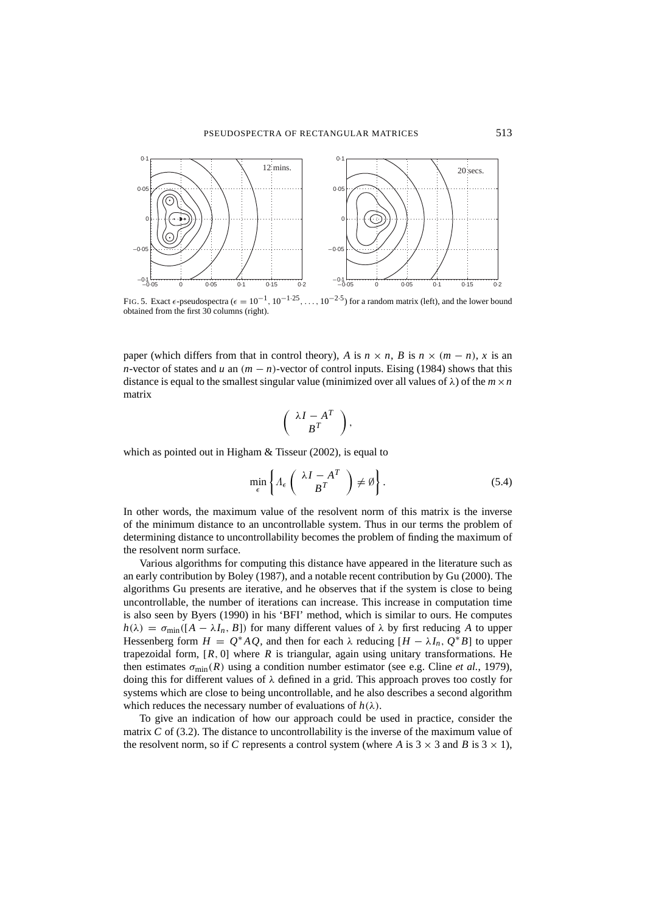

FIG. 5. Exact  $\epsilon$ -pseudospectra ( $\epsilon = 10^{-1}$ ,  $10^{-1.25}$ , ...,  $10^{-2.5}$ ) for a random matrix (left), and the lower bound obtained from the first 30 columns (right).

paper (which differs from that in control theory), *A* is  $n \times n$ , *B* is  $n \times (m - n)$ , *x* is an *n*-vector of states and *u* an  $(m - n)$ -vector of control inputs. Eising (1984) shows that this distance is equal to the smallest singular value (minimized over all values of  $\lambda$ ) of the  $m \times n$ matrix

$$
\left(\begin{array}{c} \lambda I - A^T \\ B^T \end{array}\right),
$$

which as pointed out in Higham & Tisseur (2002), is equal to

$$
\min_{\epsilon} \left\{ \Lambda_{\epsilon} \left( \begin{array}{c} \lambda I - A^T \\ B^T \end{array} \right) \neq \emptyset \right\}.
$$
\n(5.4)

In other words, the maximum value of the resolvent norm of this matrix is the inverse of the minimum distance to an uncontrollable system. Thus in our terms the problem of determining distance to uncontrollability becomes the problem of finding the maximum of the resolvent norm surface.

Various algorithms for computing this distance have appeared in the literature such as an early contribution by Boley (1987), and a notable recent contribution by Gu (2000). The algorithms Gu presents are iterative, and he observes that if the system is close to being uncontrollable, the number of iterations can increase. This increase in computation time is also seen by Byers (1990) in his 'BFI' method, which is similar to ours. He computes  $h(\lambda) = \sigma_{\min}([A - \lambda I_n, B])$  for many different values of  $\lambda$  by first reducing A to upper Hessenberg form  $H = Q^*AQ$ , and then for each  $\lambda$  reducing  $[H - \lambda I_n, Q^*B]$  to upper trapezoidal form,  $[R, 0]$  where  $R$  is triangular, again using unitary transformations. He then estimates  $\sigma_{\text{min}}(R)$  using a condition number estimator (see e.g. Cline *et al.*, 1979), doing this for different values of λ defined in a grid. This approach proves too costly for systems which are close to being uncontrollable, and he also describes a second algorithm which reduces the necessary number of evaluations of  $h(\lambda)$ .

To give an indication of how our approach could be used in practice, consider the matrix *C* of (3.2). The distance to uncontrollability is the inverse of the maximum value of the resolvent norm, so if C represents a control system (where A is  $3 \times 3$  and B is  $3 \times 1$ ),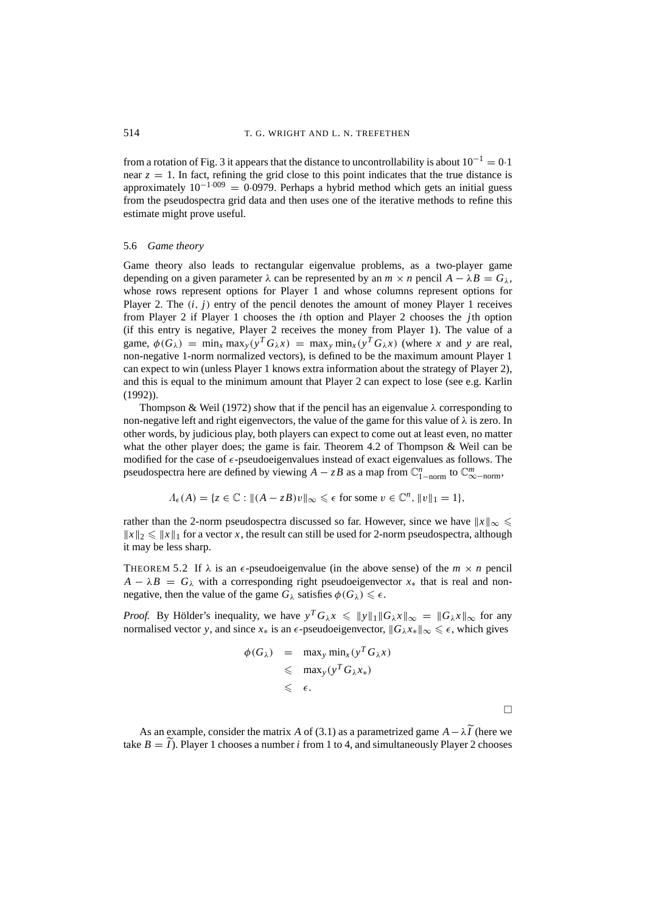from a rotation of Fig. 3 it appears that the distance to uncontrollability is about  $10^{-1} = 0.1$ near  $z = 1$ . In fact, refining the grid close to this point indicates that the true distance is approximately  $10^{-1.009} = 0.0979$ . Perhaps a hybrid method which gets an initial guess from the pseudospectra grid data and then uses one of the iterative methods to refine this estimate might prove useful.

### 5.6 *Game theory*

Game theory also leads to rectangular eigenvalue problems, as a two-player game depending on a given parameter  $\lambda$  can be represented by an  $m \times n$  pencil  $A - \lambda B = G_{\lambda}$ , whose rows represent options for Player 1 and whose columns represent options for Player 2. The (*i*, *j*) entry of the pencil denotes the amount of money Player 1 receives from Player 2 if Player 1 chooses the *i*th option and Player 2 chooses the *j*th option (if this entry is negative, Player 2 receives the money from Player 1). The value of a game,  $\phi(G_\lambda) = \min_x \max_y (y^T G_\lambda x) = \max_y \min_x (y^T G_\lambda x)$  (where *x* and *y* are real, non-negative 1-norm normalized vectors), is defined to be the maximum amount Player 1 can expect to win (unless Player 1 knows extra information about the strategy of Player 2), and this is equal to the minimum amount that Player 2 can expect to lose (see e.g. Karlin (1992)).

Thompson & Weil (1972) show that if the pencil has an eigenvalue  $\lambda$  corresponding to non-negative left and right eigenvectors, the value of the game for this value of  $\lambda$  is zero. In other words, by judicious play, both players can expect to come out at least even, no matter what the other player does; the game is fair. Theorem 4.2 of Thompson & Weil can be modified for the case of  $\epsilon$ -pseudoeigenvalues instead of exact eigenvalues as follows. The pseudospectra here are defined by viewing  $A - zB$  as a map from  $\mathbb{C}_{1-\text{norm}}^n$  to  $\mathbb{C}_{\infty-\text{norm}}^m$ ,

$$
\Lambda_{\epsilon}(A) = \{ z \in \mathbb{C} : ||(A - zB)v||_{\infty} \leq \epsilon \text{ for some } v \in \mathbb{C}^n, ||v||_1 = 1 \},
$$

rather than the 2-norm pseudospectra discussed so far. However, since we have  $\|x\|_{\infty} \leq$  $||x||_2 \le ||x||_1$  for a vector *x*, the result can still be used for 2-norm pseudospectra, although it may be less sharp.

THEOREM 5.2 If  $\lambda$  is an  $\epsilon$ -pseudoeigenvalue (in the above sense) of the  $m \times n$  pencil  $A - \lambda B = G_{\lambda}$  with a corresponding right pseudoeigenvector  $x_*$  that is real and nonnegative, then the value of the game  $G_{\lambda}$  satisfies  $\phi(G_{\lambda}) \leq \epsilon$ .

*Proof.* By Hölder's inequality, we have  $y^T G_\lambda x \le ||y||_1 ||G_\lambda x||_\infty = ||G_\lambda x||_\infty$  for any normalised vector *y*, and since  $x_*$  is an  $\epsilon$ -pseudoeigenvector,  $||G_\lambda x_*||_\infty \leq \epsilon$ , which gives

$$
\phi(G_{\lambda}) = \max_{y} \min_{x} (y^{T} G_{\lambda} x)
$$
  
\$\leqslant \max\_{y} (y^{T} G\_{\lambda} x\_{\*})\$  
\$\leqslant \epsilon\$.

 $\Box$ 

As an example, consider the matrix *A* of (3.1) as a parametrized game  $A - \lambda \widetilde{I}$  (here we take  $B = \tilde{I}$ ). Player 1 chooses a number *i* from 1 to 4, and simultaneously Player 2 chooses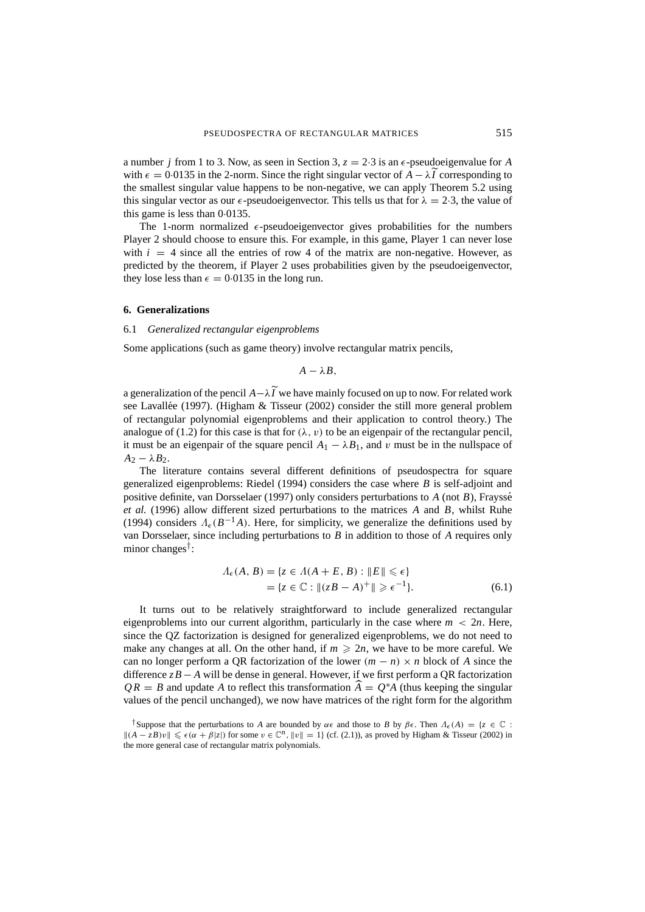a number *j* from 1 to 3. Now, as seen in Section 3,  $z = 2.3$  is an  $\epsilon$ -pseudoeigenvalue for *A* with  $\epsilon = 0.0135$  in the 2-norm. Since the right singular vector of *A* −  $\lambda$ *I* corresponding to the smallest singular value happens to be non-negative, we can apply Theorem 5.2 using this singular vector as our  $\epsilon$ -pseudoeigenvector. This tells us that for  $\lambda = 2.3$ , the value of this game is less than 0·0135.

The 1-norm normalized  $\epsilon$ -pseudoeigenvector gives probabilities for the numbers Player 2 should choose to ensure this. For example, in this game, Player 1 can never lose with  $i = 4$  since all the entries of row 4 of the matrix are non-negative. However, as predicted by the theorem, if Player 2 uses probabilities given by the pseudoeigenvector, they lose less than  $\epsilon = 0.0135$  in the long run.

### **6. Generalizations**

### 6.1 *Generalized rectangular eigenproblems*

Some applications (such as game theory) involve rectangular matrix pencils,

$$
A-\lambda B,
$$

<sup>a</sup> generalization of the pencil *<sup>A</sup>*−λ*<sup>I</sup>* we have mainly focused on up to now. For related work see Lavallée (1997). (Higham & Tisseur (2002) consider the still more general problem of rectangular polynomial eigenproblems and their application to control theory.) The analogue of (1.2) for this case is that for  $(\lambda, v)$  to be an eigenpair of the rectangular pencil, it must be an eigenpair of the square pencil  $A_1 - \lambda B_1$ , and v must be in the nullspace of  $A_2 - \lambda B_2$ .

The literature contains several different definitions of pseudospectra for square generalized eigenproblems: Riedel (1994) considers the case where *B* is self-adjoint and positive definite, van Dorsselaer (1997) only considers perturbations to *A* (not *B*), Fraysse´ *et al.* (1996) allow different sized perturbations to the matrices *A* and *B*, whilst Ruhe (1994) considers  $\Lambda_{\epsilon}(B^{-1}A)$ . Here, for simplicity, we generalize the definitions used by van Dorsselaer, since including perturbations to *B* in addition to those of *A* requires only minor changes†:

$$
\Lambda_{\epsilon}(A, B) = \{ z \in \Lambda(A + E, B) : ||E|| \le \epsilon \}
$$
  
=  $\{ z \in \mathbb{C} : ||(zB - A)^{+}|| \ge \epsilon^{-1} \}.$  (6.1)

It turns out to be relatively straightforward to include generalized rectangular eigenproblems into our current algorithm, particularly in the case where  $m < 2n$ . Here, since the QZ factorization is designed for generalized eigenproblems, we do not need to make any changes at all. On the other hand, if  $m \ge 2n$ , we have to be more careful. We can no longer perform a QR factorization of the lower  $(m - n) \times n$  block of *A* since the difference *zB* − *A* will be dense in general. However, if we first perform a QR factorization  $QR = B$  and update *A* to reflect this transformation  $\widehat{A} = Q^*A$  (thus keeping the singular values of the pencil unchanged), we now have matrices of the right form for the algorithm

<sup>&</sup>lt;sup>†</sup>Suppose that the perturbations to *A* are bounded by  $\alpha \in \alpha$  and those to *B* by  $\beta \in \alpha$ . Then  $\Lambda_{\epsilon}(A) = \{z \in \mathbb{C} :$  $||(A - zB)v|| \leq \epsilon(\alpha + \beta |z|)$  for some  $v \in \mathbb{C}^n$ ,  $||v|| = 1$ } (cf. (2.1)), as proved by Higham & Tisseur (2002) in the more general case of rectangular matrix polynomials.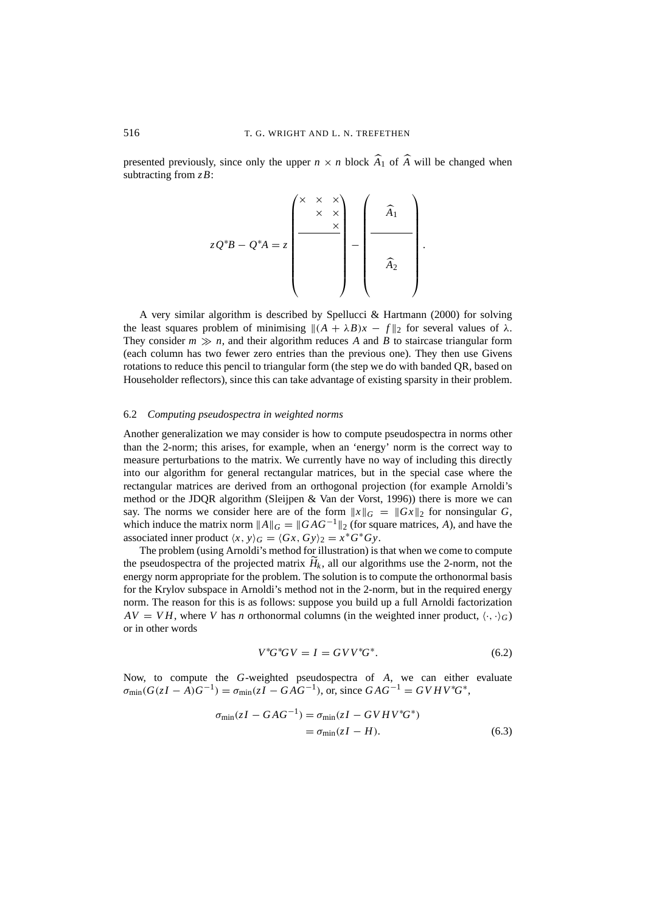presented previously, since only the upper  $n \times n$  block  $A_1$  of  $A$  will be changed when subtracting from *zB*:

$$
zQ^*B - Q^*A = z \begin{pmatrix} \times & \times & \times \\ & \times & \times \\ & & \times \\ & & & \end{pmatrix} - \begin{pmatrix} & & \\ & \widehat{A}_1 & \\ & & \\ & & & \end{pmatrix}.
$$

A very similar algorithm is described by Spellucci & Hartmann (2000) for solving the least squares problem of minimising  $\|(A + \lambda B)x - f\|_2$  for several values of  $\lambda$ . They consider  $m \gg n$ , and their algorithm reduces *A* and *B* to staircase triangular form (each column has two fewer zero entries than the previous one). They then use Givens rotations to reduce this pencil to triangular form (the step we do with banded QR, based on Householder reflectors), since this can take advantage of existing sparsity in their problem.

#### 6.2 *Computing pseudospectra in weighted norms*

Another generalization we may consider is how to compute pseudospectra in norms other than the 2-norm; this arises, for example, when an 'energy' norm is the correct way to measure perturbations to the matrix. We currently have no way of including this directly into our algorithm for general rectangular matrices, but in the special case where the rectangular matrices are derived from an orthogonal projection (for example Arnoldi's method or the JDQR algorithm (Sleijpen & Van der Vorst, 1996)) there is more we can say. The norms we consider here are of the form  $||x||_G = ||Gx||_2$  for nonsingular G, which induce the matrix norm  $||A||_G = ||GAG^{-1}||_2$  (for square matrices, *A*), and have the associated inner product  $\langle x, y \rangle_G = \langle Gx, Gy \rangle_2 = x^*G^*Gy$ .

The problem (using Arnoldi's method for illustration) is that when we come to compute the pseudospectra of the projected matrix  $H_k$ , all our algorithms use the 2-norm, not the energy norm appropriate for the problem. The solution is to compute the orthonormal basis for the Krylov subspace in Arnoldi's method not in the 2-norm, but in the required energy norm. The reason for this is as follows: suppose you build up a full Arnoldi factorization  $AV = VH$ , where *V* has *n* orthonormal columns (in the weighted inner product,  $\langle \cdot, \cdot \rangle_G$ ) or in other words

$$
V^*G^*GV = I = GVV^*G^*.
$$
\n
$$
(6.2)
$$

Now, to compute the *G*-weighted pseudospectra of *A*, we can either evaluate  $\sigma_{\min}(G(zI - A)G^{-1}) = \sigma_{\min}(zI - GAG^{-1})$ , or, since  $GAG^{-1} = GVHV^*G^*$ ,

$$
\sigma_{\min}(zI - GAG^{-1}) = \sigma_{\min}(zI - GVHV^*G^*)
$$
  
= 
$$
\sigma_{\min}(zI - H).
$$
 (6.3)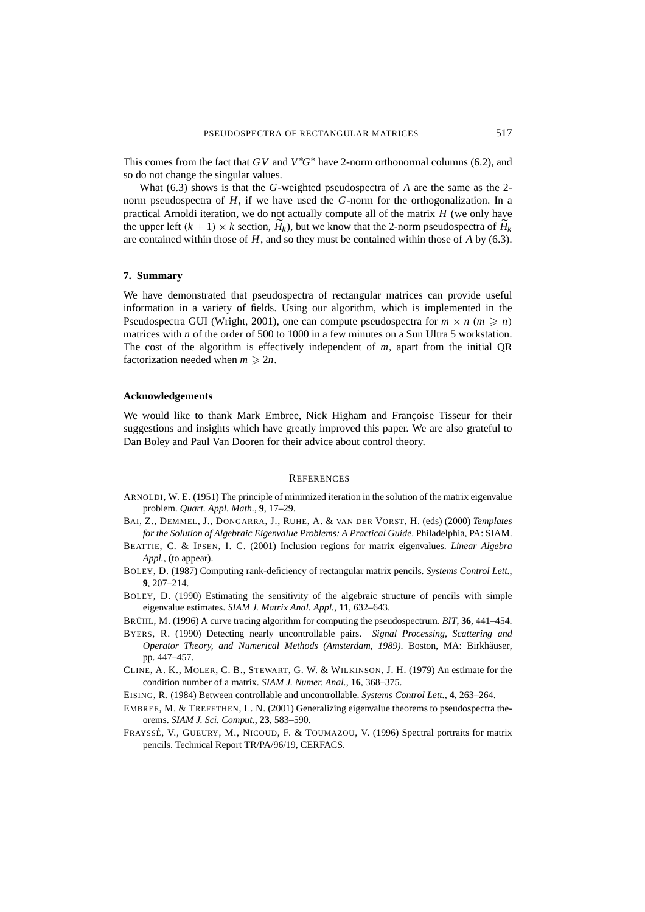This comes from the fact that  $GV$  and  $V$ <sup>\*</sup> $G$ <sup>\*</sup> have 2-norm orthonormal columns (6.2), and so do not change the singular values.

What (6.3) shows is that the *G*-weighted pseudospectra of *A* are the same as the 2 norm pseudospectra of *H*, if we have used the *G*-norm for the orthogonalization. In a practical Arnoldi iteration, we do not actually compute all of the matrix *H* (we only have the upper left  $(k + 1) \times k$  section,  $\hat{H}_k$ ), but we know that the 2-norm pseudospectra of  $\hat{H}_k$ are contained within those of *H*, and so they must be contained within those of *A* by (6.3).

#### **7. Summary**

We have demonstrated that pseudospectra of rectangular matrices can provide useful information in a variety of fields. Using our algorithm, which is implemented in the Pseudospectra GUI (Wright, 2001), one can compute pseudospectra for  $m \times n$  ( $m \ge n$ ) matrices with *n* of the order of 500 to 1000 in a few minutes on a Sun Ultra 5 workstation. The cost of the algorithm is effectively independent of *m*, apart from the initial QR factorization needed when  $m \geq 2n$ .

# **Acknowledgements**

We would like to thank Mark Embree, Nick Higham and Françoise Tisseur for their suggestions and insights which have greatly improved this paper. We are also grateful to Dan Boley and Paul Van Dooren for their advice about control theory.

#### **REFERENCES**

- ARNOLDI, W. E. (1951) The principle of minimized iteration in the solution of the matrix eigenvalue problem. *Quart. Appl. Math.*, **9**, 17–29.
- BAI, Z., DEMMEL, J., DONGARRA, J., RUHE, A. & VAN DER VORST, H. (eds) (2000) *Templates for the Solution of Algebraic Eigenvalue Problems: A Practical Guide*. Philadelphia, PA: SIAM.
- BEATTIE, C. & IPSEN, I. C. (2001) Inclusion regions for matrix eigenvalues. *Linear Algebra Appl.*, (to appear).
- BOLEY, D. (1987) Computing rank-deficiency of rectangular matrix pencils. *Systems Control Lett.*, **9**, 207–214.
- BOLEY, D. (1990) Estimating the sensitivity of the algebraic structure of pencils with simple eigenvalue estimates. *SIAM J. Matrix Anal. Appl.*, **11**, 632–643.
- BRÜHL, M. (1996) A curve tracing algorithm for computing the pseudospectrum. *BIT*, 36, 441–454.
- BYERS, R. (1990) Detecting nearly uncontrollable pairs. *Signal Processing, Scattering and Operator Theory, and Numerical Methods (Amsterdam, 1989)*. Boston, MA: Birkhäuser, pp. 447–457.
- CLINE, A. K., MOLER, C. B., STEWART, G. W. & WILKINSON, J. H. (1979) An estimate for the condition number of a matrix. *SIAM J. Numer. Anal.*, **16**, 368–375.
- EISING, R. (1984) Between controllable and uncontrollable. *Systems Control Lett.*, **4**, 263–264.
- EMBREE, M. & TREFETHEN, L. N. (2001) Generalizing eigenvalue theorems to pseudospectra theorems. *SIAM J. Sci. Comput.*, **23**, 583–590.
- FRAYSSE´, V., GUEURY, M., NICOUD, F. & TOUMAZOU, V. (1996) Spectral portraits for matrix pencils. Technical Report TR/PA/96/19, CERFACS.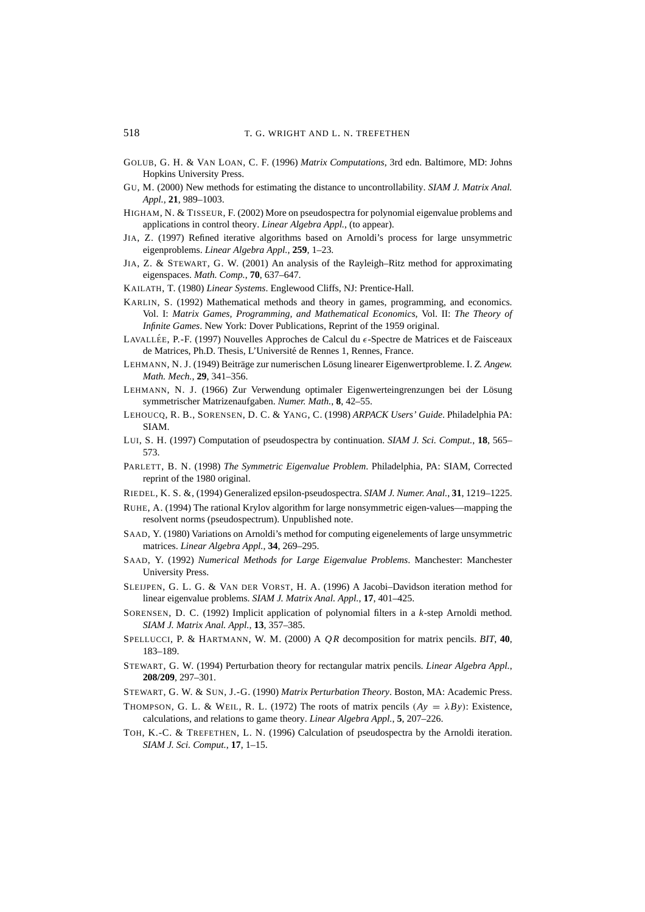- GOLUB, G. H. & VAN LOAN, C. F. (1996) *Matrix Computations*, 3rd edn. Baltimore, MD: Johns Hopkins University Press.
- GU, M. (2000) New methods for estimating the distance to uncontrollability. *SIAM J. Matrix Anal. Appl.*, **21**, 989–1003.
- HIGHAM, N. & TISSEUR, F. (2002) More on pseudospectra for polynomial eigenvalue problems and applications in control theory. *Linear Algebra Appl.*, (to appear).
- JIA, Z. (1997) Refined iterative algorithms based on Arnoldi's process for large unsymmetric eigenproblems. *Linear Algebra Appl.*, **259**, 1–23.
- JIA, Z. & STEWART, G. W. (2001) An analysis of the Rayleigh–Ritz method for approximating eigenspaces. *Math. Comp.*, **70**, 637–647.
- KAILATH, T. (1980) *Linear Systems*. Englewood Cliffs, NJ: Prentice-Hall.
- KARLIN, S. (1992) Mathematical methods and theory in games, programming, and economics. Vol. I: *Matrix Games, Programming, and Mathematical Economics,* Vol. II: *The Theory of Infinite Games*. New York: Dover Publications, Reprint of the 1959 original.
- LAVALLÉE, P.-F. (1997) Nouvelles Approches de Calcul du  $\epsilon$ -Spectre de Matrices et de Faisceaux de Matrices, Ph.D. Thesis, L'Université de Rennes 1, Rennes, France.
- LEHMANN, N. J. (1949) Beiträge zur numerischen Lösung linearer Eigenwertprobleme. I. Z. Angew. *Math. Mech.*, **29**, 341–356.
- LEHMANN, N. J. (1966) Zur Verwendung optimaler Eigenwerteingrenzungen bei der Lösung symmetrischer Matrizenaufgaben. *Numer. Math.*, **8**, 42–55.
- LEHOUCQ, R. B., SORENSEN, D. C. & YANG, C. (1998) *ARPACK Users' Guide*. Philadelphia PA: SIAM.
- LUI, S. H. (1997) Computation of pseudospectra by continuation. *SIAM J. Sci. Comput.*, **18**, 565– 573.
- PARLETT, B. N. (1998) *The Symmetric Eigenvalue Problem*. Philadelphia, PA: SIAM, Corrected reprint of the 1980 original.
- RIEDEL, K. S. &, (1994) Generalized epsilon-pseudospectra. *SIAM J. Numer. Anal.*, **31**, 1219–1225.
- RUHE, A. (1994) The rational Krylov algorithm for large nonsymmetric eigen-values—mapping the resolvent norms (pseudospectrum). Unpublished note.
- SAAD, Y. (1980) Variations on Arnoldi's method for computing eigenelements of large unsymmetric matrices. *Linear Algebra Appl.*, **34**, 269–295.
- SAAD, Y. (1992) *Numerical Methods for Large Eigenvalue Problems*. Manchester: Manchester University Press.
- SLEIJPEN, G. L. G. & VAN DER VORST, H. A. (1996) A Jacobi–Davidson iteration method for linear eigenvalue problems. *SIAM J. Matrix Anal. Appl.*, **17**, 401–425.
- SORENSEN, D. C. (1992) Implicit application of polynomial filters in a *k*-step Arnoldi method. *SIAM J. Matrix Anal. Appl.*, **13**, 357–385.
- SPELLUCCI, P. & HARTMANN, W. M. (2000) A *Q R* decomposition for matrix pencils. *BIT*, **40**, 183–189.
- STEWART, G. W. (1994) Perturbation theory for rectangular matrix pencils. *Linear Algebra Appl.*, **208/209**, 297–301.
- STEWART, G. W. & SUN, J.-G. (1990) *Matrix Perturbation Theory*. Boston, MA: Academic Press.
- THOMPSON, G. L. & WEIL, R. L. (1972) The roots of matrix pencils  $(Ay = \lambda By)$ : Existence, calculations, and relations to game theory. *Linear Algebra Appl.*, **5**, 207–226.
- TOH, K.-C. & TREFETHEN, L. N. (1996) Calculation of pseudospectra by the Arnoldi iteration. *SIAM J. Sci. Comput.*, **17**, 1–15.